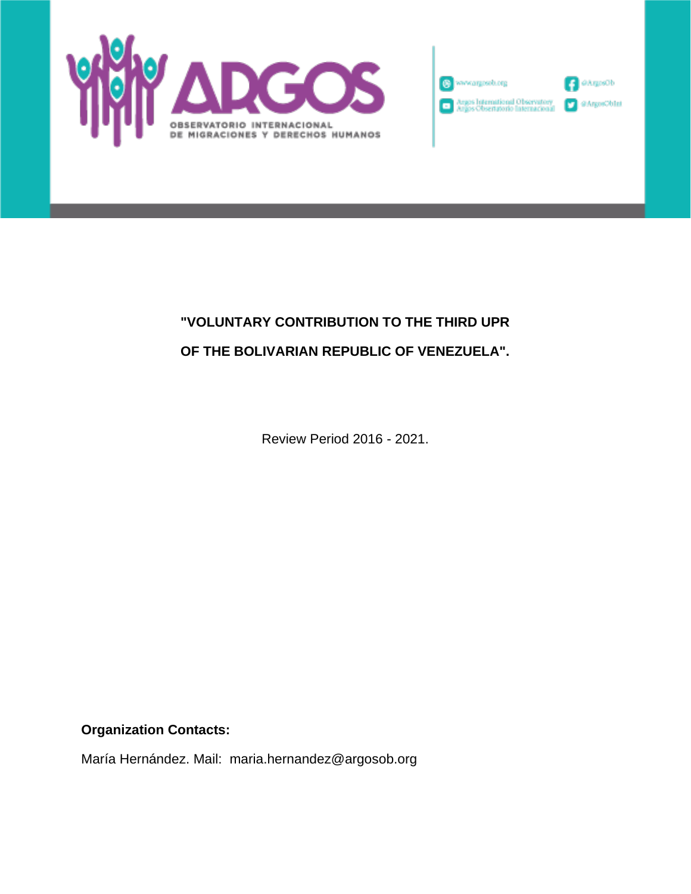



## **"VOLUNTARY CONTRIBUTION TO THE THIRD UPR OF THE BOLIVARIAN REPUBLIC OF VENEZUELA".**

Review Period 2016 - 2021.

**Organization Contacts:**

María Hernández. Mail: maria.hernandez@argosob.org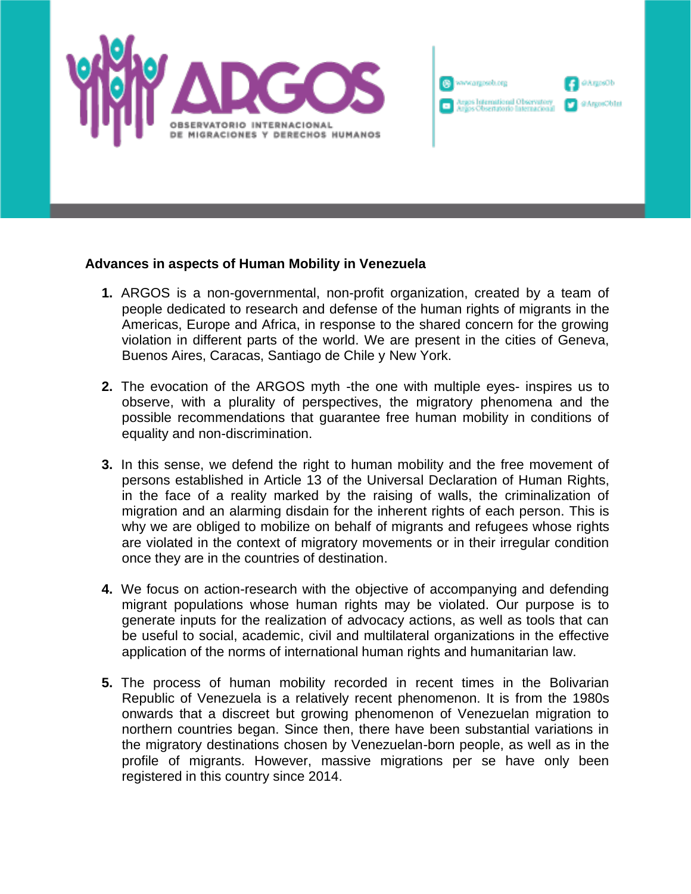



## **Advances in aspects of Human Mobility in Venezuela**

- **1.** ARGOS is a non-governmental, non-profit organization, created by a team of people dedicated to research and defense of the human rights of migrants in the Americas, Europe and Africa, in response to the shared concern for the growing violation in different parts of the world. We are present in the cities of Geneva, Buenos Aires, Caracas, Santiago de Chile y New York.
- **2.** The evocation of the ARGOS myth -the one with multiple eyes- inspires us to observe, with a plurality of perspectives, the migratory phenomena and the possible recommendations that guarantee free human mobility in conditions of equality and non-discrimination.
- **3.** In this sense, we defend the right to human mobility and the free movement of persons established in Article 13 of the Universal Declaration of Human Rights, in the face of a reality marked by the raising of walls, the criminalization of migration and an alarming disdain for the inherent rights of each person. This is why we are obliged to mobilize on behalf of migrants and refugees whose rights are violated in the context of migratory movements or in their irregular condition once they are in the countries of destination.
- **4.** We focus on action-research with the objective of accompanying and defending migrant populations whose human rights may be violated. Our purpose is to generate inputs for the realization of advocacy actions, as well as tools that can be useful to social, academic, civil and multilateral organizations in the effective application of the norms of international human rights and humanitarian law.
- **5.** The process of human mobility recorded in recent times in the Bolivarian Republic of Venezuela is a relatively recent phenomenon. It is from the 1980s onwards that a discreet but growing phenomenon of Venezuelan migration to northern countries began. Since then, there have been substantial variations in the migratory destinations chosen by Venezuelan-born people, as well as in the profile of migrants. However, massive migrations per se have only been registered in this country since 2014.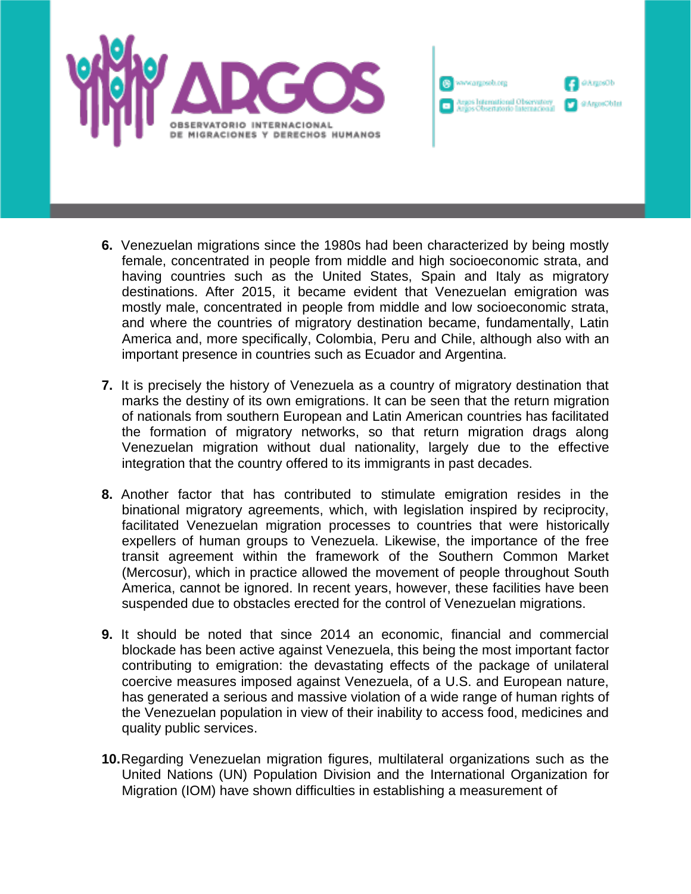



- **6.** Venezuelan migrations since the 1980s had been characterized by being mostly female, concentrated in people from middle and high socioeconomic strata, and having countries such as the United States, Spain and Italy as migratory destinations. After 2015, it became evident that Venezuelan emigration was mostly male, concentrated in people from middle and low socioeconomic strata, and where the countries of migratory destination became, fundamentally, Latin America and, more specifically, Colombia, Peru and Chile, although also with an important presence in countries such as Ecuador and Argentina.
- **7.** It is precisely the history of Venezuela as a country of migratory destination that marks the destiny of its own emigrations. It can be seen that the return migration of nationals from southern European and Latin American countries has facilitated the formation of migratory networks, so that return migration drags along Venezuelan migration without dual nationality, largely due to the effective integration that the country offered to its immigrants in past decades.
- **8.** Another factor that has contributed to stimulate emigration resides in the binational migratory agreements, which, with legislation inspired by reciprocity, facilitated Venezuelan migration processes to countries that were historically expellers of human groups to Venezuela. Likewise, the importance of the free transit agreement within the framework of the Southern Common Market (Mercosur), which in practice allowed the movement of people throughout South America, cannot be ignored. In recent years, however, these facilities have been suspended due to obstacles erected for the control of Venezuelan migrations.
- **9.** It should be noted that since 2014 an economic, financial and commercial blockade has been active against Venezuela, this being the most important factor contributing to emigration: the devastating effects of the package of unilateral coercive measures imposed against Venezuela, of a U.S. and European nature, has generated a serious and massive violation of a wide range of human rights of the Venezuelan population in view of their inability to access food, medicines and quality public services.
- **10.**Regarding Venezuelan migration figures, multilateral organizations such as the United Nations (UN) Population Division and the International Organization for Migration (IOM) have shown difficulties in establishing a measurement of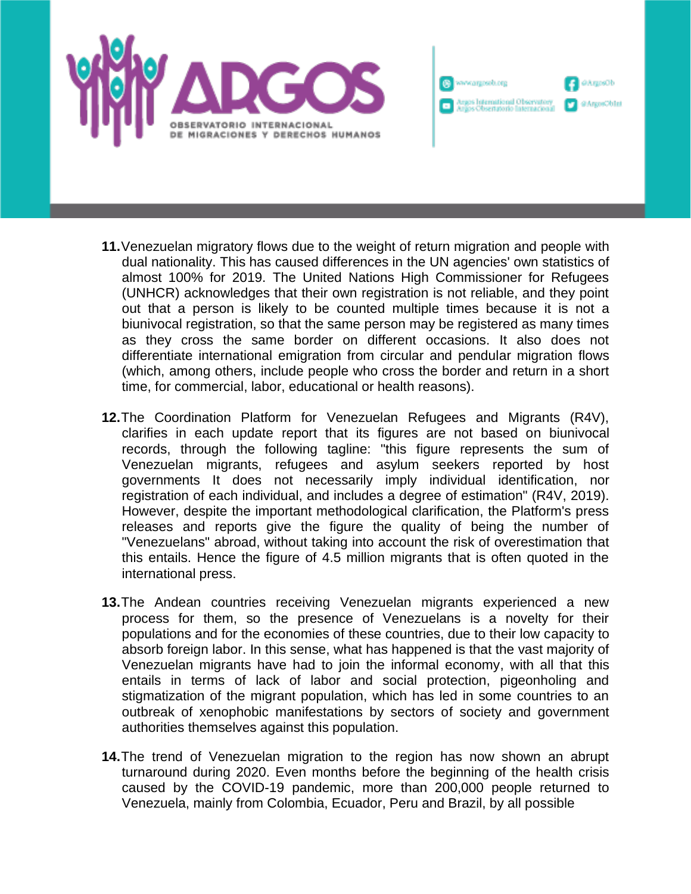



- **11.**Venezuelan migratory flows due to the weight of return migration and people with dual nationality. This has caused differences in the UN agencies' own statistics of almost 100% for 2019. The United Nations High Commissioner for Refugees (UNHCR) acknowledges that their own registration is not reliable, and they point out that a person is likely to be counted multiple times because it is not a biunivocal registration, so that the same person may be registered as many times as they cross the same border on different occasions. It also does not differentiate international emigration from circular and pendular migration flows (which, among others, include people who cross the border and return in a short time, for commercial, labor, educational or health reasons).
- **12.**The Coordination Platform for Venezuelan Refugees and Migrants (R4V), clarifies in each update report that its figures are not based on biunivocal records, through the following tagline: "this figure represents the sum of Venezuelan migrants, refugees and asylum seekers reported by host governments It does not necessarily imply individual identification, nor registration of each individual, and includes a degree of estimation" (R4V, 2019). However, despite the important methodological clarification, the Platform's press releases and reports give the figure the quality of being the number of "Venezuelans" abroad, without taking into account the risk of overestimation that this entails. Hence the figure of 4.5 million migrants that is often quoted in the international press.
- **13.**The Andean countries receiving Venezuelan migrants experienced a new process for them, so the presence of Venezuelans is a novelty for their populations and for the economies of these countries, due to their low capacity to absorb foreign labor. In this sense, what has happened is that the vast majority of Venezuelan migrants have had to join the informal economy, with all that this entails in terms of lack of labor and social protection, pigeonholing and stigmatization of the migrant population, which has led in some countries to an outbreak of xenophobic manifestations by sectors of society and government authorities themselves against this population.
- **14.**The trend of Venezuelan migration to the region has now shown an abrupt turnaround during 2020. Even months before the beginning of the health crisis caused by the COVID-19 pandemic, more than 200,000 people returned to Venezuela, mainly from Colombia, Ecuador, Peru and Brazil, by all possible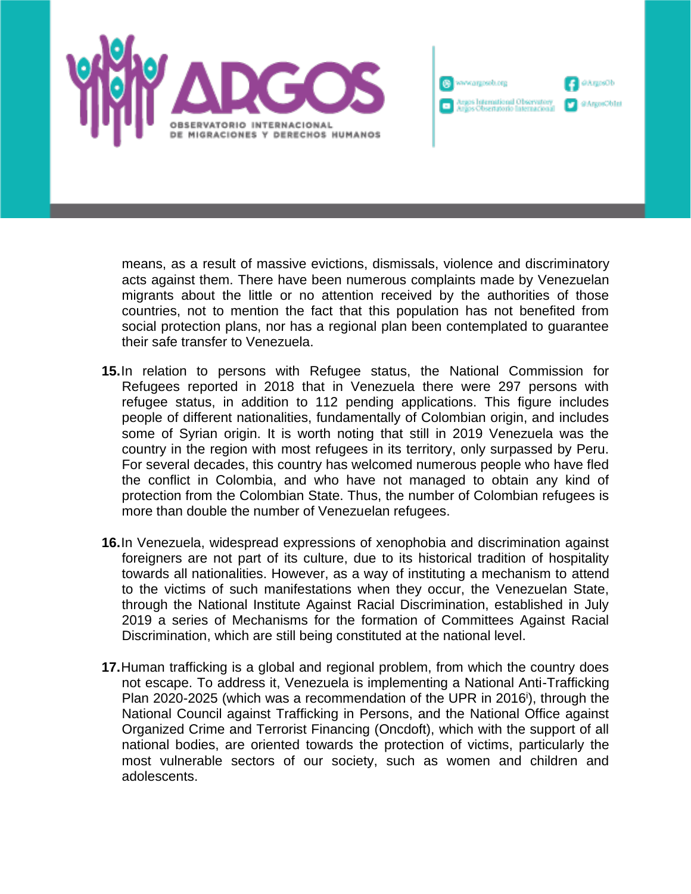

means, as a result of massive evictions, dismissals, violence and discriminatory acts against them. There have been numerous complaints made by Venezuelan migrants about the little or no attention received by the authorities of those countries, not to mention the fact that this population has not benefited from social protection plans, nor has a regional plan been contemplated to guarantee their safe transfer to Venezuela.

<sup>(2)</sup> www.argosob.org

gos International Observatory<br>Gos Obsertatorio Internacional

dGeogrAú

@ArgosOblat

- **15.**In relation to persons with Refugee status, the National Commission for Refugees reported in 2018 that in Venezuela there were 297 persons with refugee status, in addition to 112 pending applications. This figure includes people of different nationalities, fundamentally of Colombian origin, and includes some of Syrian origin. It is worth noting that still in 2019 Venezuela was the country in the region with most refugees in its territory, only surpassed by Peru. For several decades, this country has welcomed numerous people who have fled the conflict in Colombia, and who have not managed to obtain any kind of protection from the Colombian State. Thus, the number of Colombian refugees is more than double the number of Venezuelan refugees.
- **16.**In Venezuela, widespread expressions of xenophobia and discrimination against foreigners are not part of its culture, due to its historical tradition of hospitality towards all nationalities. However, as a way of instituting a mechanism to attend to the victims of such manifestations when they occur, the Venezuelan State, through the National Institute Against Racial Discrimination, established in July 2019 a series of Mechanisms for the formation of Committees Against Racial Discrimination, which are still being constituted at the national level.
- **17.**Human trafficking is a global and regional problem, from which the country does not escape. To address it, Venezuela is implementing a National Anti-Trafficking Plan 2020-2025 (which was a recommendation of the UPR in 2016<sup>'</sup>), through the National Council against Trafficking in Persons, and the National Office against Organized Crime and Terrorist Financing (Oncdoft), which with the support of all national bodies, are oriented towards the protection of victims, particularly the most vulnerable sectors of our society, such as women and children and adolescents.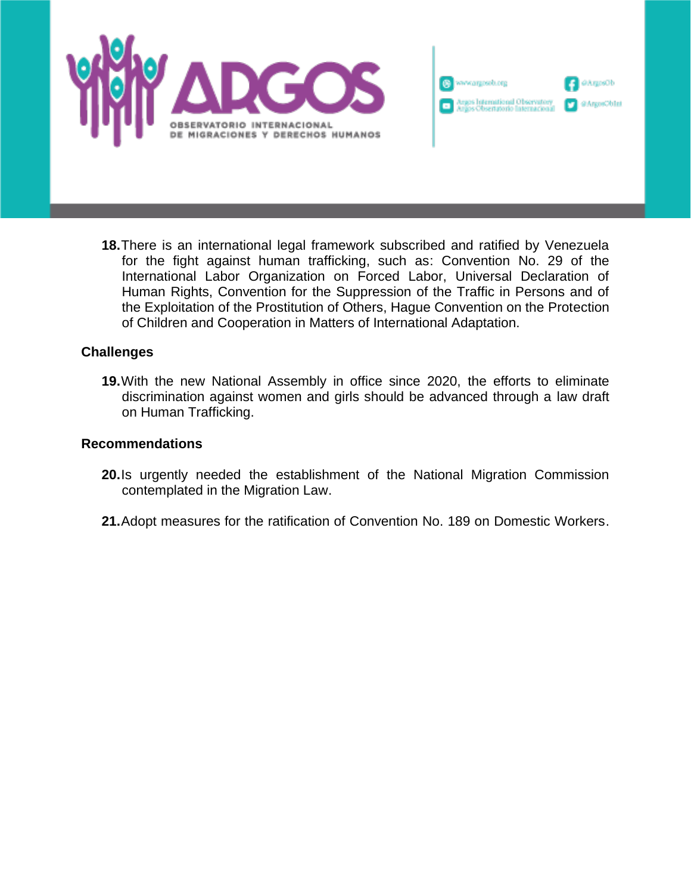



**18.**There is an international legal framework subscribed and ratified by Venezuela for the fight against human trafficking, such as: Convention No. 29 of the International Labor Organization on Forced Labor, Universal Declaration of Human Rights, Convention for the Suppression of the Traffic in Persons and of the Exploitation of the Prostitution of Others, Hague Convention on the Protection of Children and Cooperation in Matters of International Adaptation.

## **Challenges**

**19.**With the new National Assembly in office since 2020, the efforts to eliminate discrimination against women and girls should be advanced through a law draft on Human Trafficking.

## **Recommendations**

- **20.**Is urgently needed the establishment of the National Migration Commission contemplated in the Migration Law.
- **21.**Adopt measures for the ratification of Convention No. 189 on Domestic Workers.